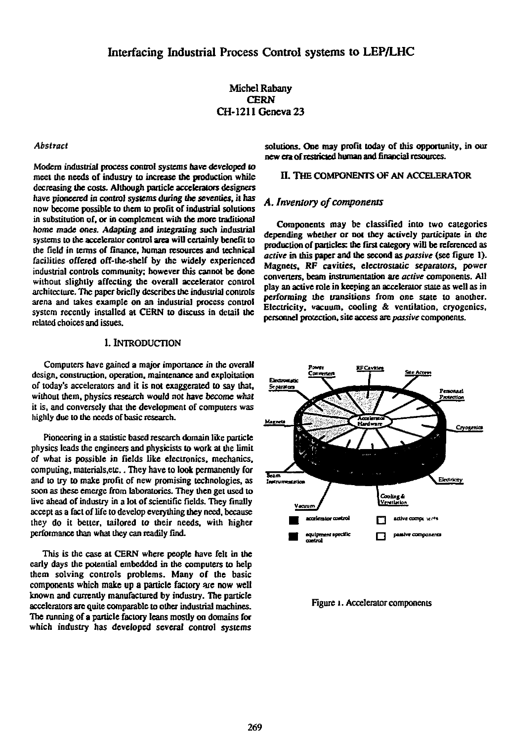# **Michel Rabany CERN CH-1211 Geneva 23**

#### *Abstract*

**Modem industrial process control systems nave developed to meet the needs of industry to increase the production while decreasing the costs. Although panicle accelerators designers have pioneered in control systems during Ibe seventies, it has now become possible to them to profit of industrial solutions in substitution of, or in complement with the more traditional home made ones. Adapting and integrating such industrial systems to the accelerator control area will certainly benefit to the field in terms of finance, human resources and technical facilities offered off-the-shelf by the widely experienced industrial controls community; however this cannot be done without slightly affecting die overall accelerator control architecture. The paper briefly describes the industrial controls arena and takes example on an industrial process control system recently installed at CERN to discuss in detail the related choices and issues.** 

# **I. INTRODUCTION**

**Computers have gained a major importance in the overall design, construction, operation, maintenance and exploitation of today's accelerators and it is not exaggerated to say that, without them, physics research would not have become what it is, and conversely that the development of computers was highly due to die needs of basic research.** 

**Pioneering in a statistic based research domain like panicle physics leads die engineers and physicists to work at the limit of what is possible in fields like electronics, mechanics, computing, materials,eic.. They have to look permanently for and to try to make profit of new promising technologies, as**  soon as these emerge from laboratories. They then get used to **live ahead of industry in a lot of scientific fields. They finally accept as a fact of life to develop everything they need, because they do it better, tailored to their needs, with higher performance dian what Uley can readily find.** 

**This is die case at CERN where people have felt in die early days die potential embedded in die computers to help them solving controls problems. Many of the basic components which make up a particle factory are now well known and currently manufactured by industry. The particle accelerators are quite comparable to other industrial machines. The running of a panicle factory leans mostly on domains for which industry has developed several control systems**  **solutions. One may profit today of this opportunity, in our new era of restricted human and financial resources.** 

# **II. THE COMPONENTS OF AN ACCELERATOR**

#### *A. Inventory of components*

**Components may be classified into two categories depending whether or not they actively participate in the production of panicles: the first category will be referenced as**  *active* **in this paper and the second as** *passive* **(see figure 1). Magnets, RF cavities, electrostatic separators, power conveners, beam instrumentation are** *active* **components. All play an active role in keeping an accelerator slate as well as in performing the transitions from one state to anodier. Electricity, vacuum, cooling & ventilation, cryogenics, personnel protection, site access are** *passive* **components.** 



**Figure i. Accelerator components**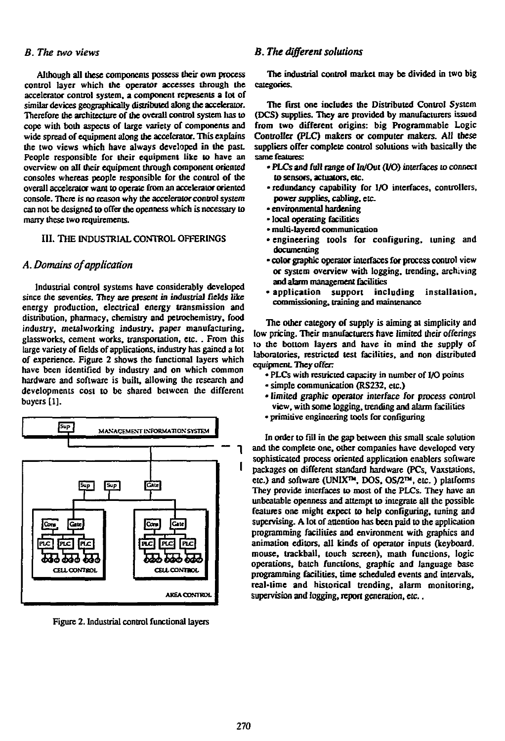**Although all these components possess their own process control layer which the operator accesses through the accelerator control system, a component represents a lot of similar devices geographically distributed along the accelerator. Therefore the architecture of the overall control system has to cope with both aspects of large variety of components and wide spread of equipment along the accelerator. This explains the two views which have always developed in the past. People responsible for their equipment like to have an overview on all their equipment through component oriented consoles whereas people responsible for the control of the overall accelerator want to operate from an accelerator oriented console. There is no reason why the accelerator control system can not be designed to offer the openness which is necessary to marry these two requirements.** 

# **III. THE INDUSTRIAL CONTROL OFFERINGS**

# *A. Domains of application*

**Industrial control systems have considerably developed since the seventies. They are present in industrial fields like energy production, electrical energy transmission and distribution, pharmacy, chemistry and petrochemistry, food industry, metalworking industry, paper manufacturing, glassworks, cement works, transportation, etc. . From this large variety of fields of applications, industry has gained a lot of experience. Figure 2 shows the functional layers which have been identified by industry and on which common hardware and software is built, allowing the research and developments cost to be shared between the different buyers [1],** 



**Figure 2. Industrial control functional layers** 

# *B. The two views B. The different solutions*

**The industrial control market may be divided in two big categories.** 

**The first one includes the Distributed Control System (DCS) supplies. They are provided by manufacturers issued from two different origins: big Programmable Logic Controller (PLC) makers or computer makers. All these suppliers offer complete control solutions with basically the same features:** 

- **PLCs and full range of In/Out (I/O) interfaces to connect to sensors, actuators, etc.**
- **redundancy capability for I/O interfaces, controllers,**  power supplies, cabling, etc.
- **environmental hardening**
- **local operating facilities**
- **multi-layered communication**
- **engineering tools for configuring, tuning and documenting**
- **color graphic operator interfaces for process control view or system overview with logging, trending, archiving and alarm management facilities**
- **application support including installation, commissiordng, training and maintenance**

**The other category of supply is aiming at simplicity and low pricing. Their manufacturers have limited their offerings to the bottom layers and have in mind the supply of laboratories, restricted test facilities, and non distributed equipment.** They offer:

- **PLCs with restricted capacity in number of I/O points**
- **simple communication (RS232, etc.)**
- **limited graphic operator interface for process control view, with some logging, trending and alarm facilities**
- **primitive engineering tools for configuring**

**In order to fill in the gap between this small scale solution and the complete one, other companies have developed very sophisticated process oriented application enablers software packages on different standard hardware (PCs, Vaxstations, etc.) and software (UNIX™, DOS, OS/2™, etc. ) platforms They provide interfaces to most of the PLCs. They have an unbeatable openness and attempt to integrate all the possible features one might expect to help configuring, tuning and supervising. A lot of attention has been paid to the application programming facilities and environment with graphics and animation editors, all kinds of operator inputs (keyboard, mouse, trackball, touch screen), math functions, logic operations, batch functions, graphic and language base programming facilities, time scheduled events and intervals, real-time and historical trending, alarm monitoring, supervision and logging, report generation,** *etc..*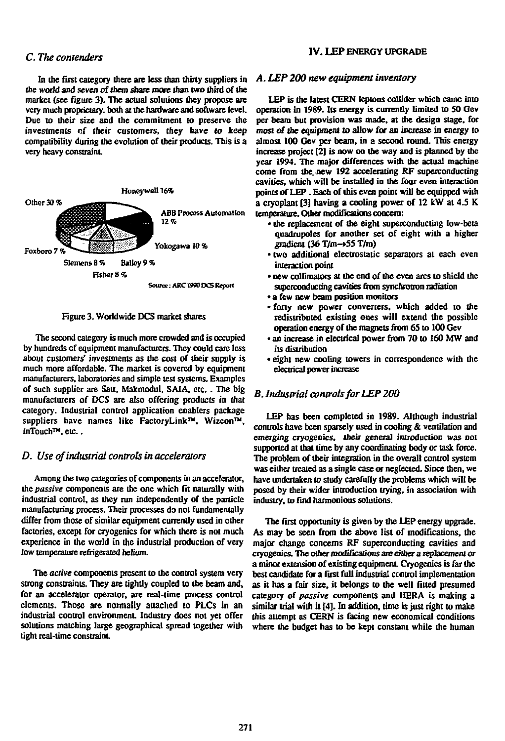**In the first category there are less than thirty suppliers in the world and seven of** *them* **snare more than two third of the market (see figure 3). The actual solutions they propose are**  very much proprietary, both at the hardware and software level. **Due to their size and the commitment to preserve the investments of their customers, they have lo keep compatibility during the evolution of their products. This is a very heavy constraint** 



**Figure 3. Worldwide DCS market shares** 

**The second category is much more crowded and is occupied by hundreds of equipment manufacturers. They could care less about customers' investments as the cost of their supply is much more affordable. The market is covered by equipment manufacturers, laboratories and simple test systems. Examples of such supplier are Salt, Makmodul, SAIA. etc.. The big manufacturers of DCS are also offering products in that category. Industrial control application enablers package suppliers have names like FactoryLink™. Wizcon™, inTouch™, etc..** 

# *D. Use of industrial controls in accelerators*

**Among the two categories of components in an accelerator, the** *passive* **components are the one which fit naturally with industrial control, as they run independently of the particle manufacturing process. Their processes do not fundamentally differ from those of similar equipment currently used in other factories, except for cryogenics for which there is not much experience in the world in the industrial production of very low temperature refrigerated helium.** 

**The** *active* **components present lo the control system very strong constraints. They are tightly coupled to the beam and, for an accelerator operator, are real-time process control elements. Those are nonnally attached to PLCs in an industrial control environment. Industry does not yet offer solutions matching large geographical spread together with tight real-time constraint** 

# *C. The contenders* **IV. LEP ENERGY UPGRADE**

#### *A. LEP 200 new equipment inventory*

**LEP is die latest CERN leptons collider which came into operation in 19S9. Its energy is currently limited to SO Gev per beam but provision was made, at the design stage, for**  *most Of* **the equipment to allow for an increase in energy to almost 100 Gev per beam, in a second round. This energy increase project [2] is now on the way and is planned by die year 1994. The major differences widi the actual machine come from the. new 192 accelerating RF superconducting cavities, which will be installed in the four even interaction points of LEP. Each of (his even point will be equipped with a cryoplant [3] having a cooling power of 12 kW at 4 .5 K temperature. Other modifications concern:** 

- **the replacement of the eight superconducting low-beta quadrupoles for anolher set of eight with a higher gradient (36 T/m-»55 T/m)**
- **two additional electrostatic separators at each even interaction point**
- **new collimators at the end of the even arcs to shield the superconducting cavities from synchrotron radiation**
- **a few new beam position monitors**
- **forty new power converters, which added to the redistributed existing ones will extend the possible operation energy of die magnets from 65 to 100 Gev**
- **an increase in electrical power from 70 to 160 MW and its distribution**
- **eight new cooling lowers in correspondence widi the electrical power increase**

# *B. Industrial controls for LEP 200*

**LEP has been completed in 19S9. Although industrial controls have been sparsely used in cooling** *&* **ventilation and emerging cryogenics, Iheir general introduction was not**  supported at that time by any coordinating body or task force. **Trie problem of their integration in the overall control system was either treated as a single case or neglected. Since then, we have undertaken to study carefully die problems which will be posed by dieir wider introduction trying, in association widi industry, to find harmonious solutions.** 

**The first opportunity is given by the LEP energy upgrade. As may be seen from the above list of modifications, the major change concerns RF superconducting cavities and**  cryogenics. The other modifications are either a replacement or **a minor extension of existing equipment- Cryogenics is far die best candidate for a first full industrial control implementation as it has a fair size, it belongs to die well fitted presumed category of** *passive* **components and HERA is making a similar trial with it [4]. In addition, time is just right to make diis attempt as CERN is facing new economical conditions where die budget has to be kept constant while the human**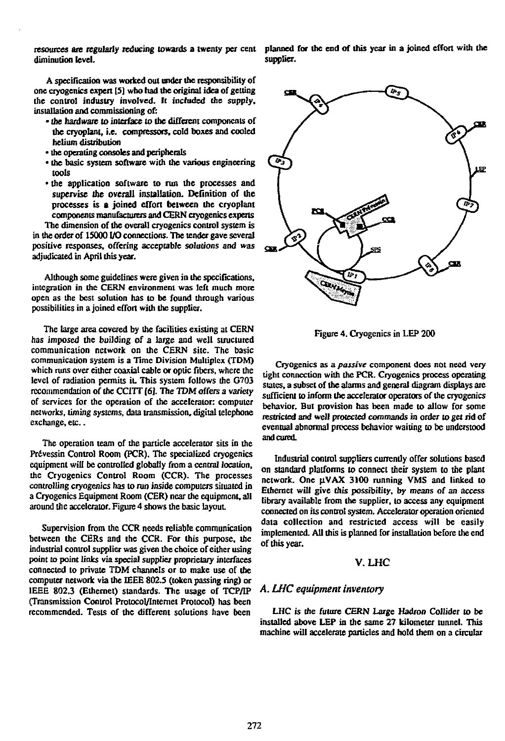**diminution level.** 

**A specification was worked out under the responsibility of one cryogenics expert [5] who had the original idea of getting the control industry involved. It included the supply, installation and commissioning of:** 

- **toe hardware to interface to the different components of the cryoplant, i.e. compressors, cold boxes and cooled helium distribution**
- **the operating consoles and peripherals**
- **the basic system software with the various engineering tools**
- **the application software to run the processes and supervise the overall installation. Definition of the processes is a joined effort between the cryoplant components manufacturers and CERN cryogenics experts**

**The dimension of the overall cryogenics control system is in the order of 15000 I/O connections. The tender gave several positive responses, offering acceptable solutions and was adjudicated in April this year.** 

**Although some guidelines were given in the specifications, integration in die CERN environment was left much more open as the best solution has to be found through various possibilities in a joined effort with the supplier.** 

**The large area covered by the facilities existing at CERN has imposed the building of a large and well structured communication network on the CERN site. The basic communication system is a Time Division Multiplex (TDM) which runs over either coaxial cable or optic fibers, where the level of radiation permits it. This system follows die G703 recommendation of the CC1TT (6). The TDM offers a** *variety*  **of services for the operation of the accelerator: computer networks, timing systems, data transmission, digital telephone exchange, etc..** 

**The operation team of the particle accelerator sits in the**  Prévessin Control Room (PCR). The specialized cryogenics **equipment will be controlled globally from a central location, the Cryogenics Control Room (CCR). The processes controlling cryogenics has to run inside computers situated in a Cryogenics Equipment Room (CER) near die equipment, all around die accelerator. Figure 4 shows die basic layout.** 

**Supervision from the CCR needs reliable communication between the CERs and the CCR. For this purpose, the industrial control supplier was given die choice of either using point to point links via special supplier proprietary interfaces connected to private TDM channels or to make use of the computer network via die IEEE 802.5 (token passing ring) or**  IEEE 802.3 (Ethernet) standards. The usage of TCP/IP **(Transmission Control Protocol/Internet Protocol) has been**  recommended. Tests of the different solutions have been

resources are regularly reducing towards a twenty per cent planned for the end of this year in a joined effort with the **supplier.** 



**Figure 4. Cryogenics in LEP 200** 

**Cryogenics as** *a passive* **component does not need very tight connection widi die PCR. Cryogenics process operating states, a subset of die alarms and general diagram displays are sufficient to inform tbc accelerator operators of die cryogenics behavior. But provision has been made to allow for some restricted and well protected commands in order to** *gel* **rid of eventual abnormal process behavior waiting to be understood and cured.** 

**Industrial control suppliers currently offer solutions based on standard platforms to connect their system to the plant network. One U.VAX 3100 running VMS and linked to Ethernet will give this possibility, by means of an access library available from die supplier, to access any equipment connected on its control system. Accelerator operation oriented data collection and restricted access will be easily implemented. All this is planned for installation before die end of this year.** 

### *V.UiC*

# *A. LUC equipment inventory*

**LHC is die future CERN Large Hadron Collider to be installed above LEP in die same 27 kilometer tunnel. This machine will accelerate particles and hold diem on a circular**